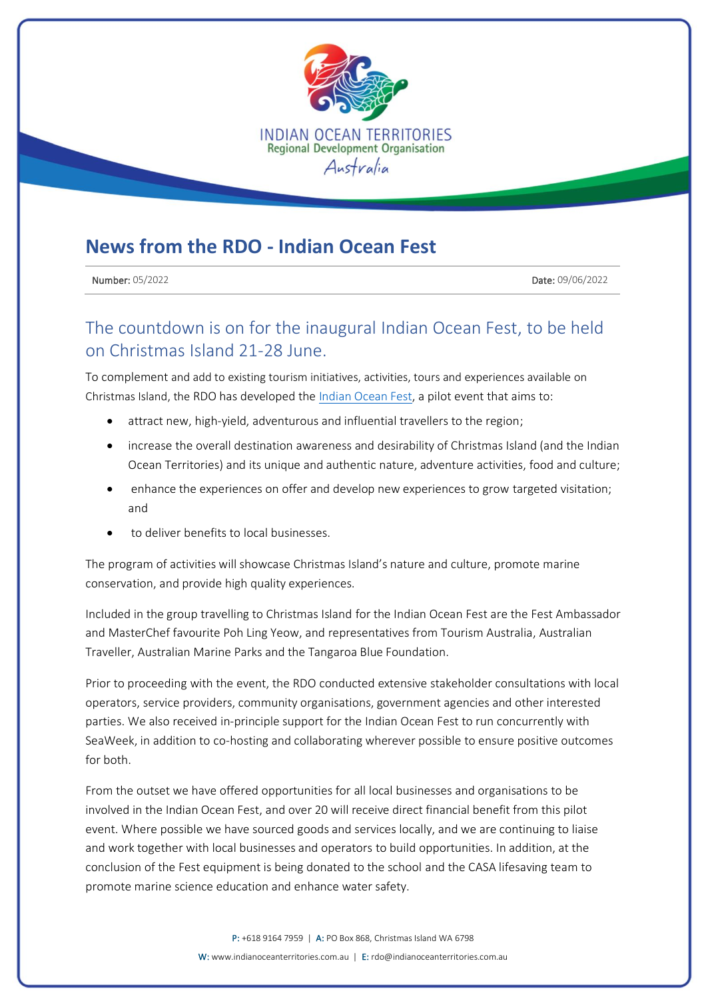

## **News from the RDO - Indian Ocean Fest**

**Number: 05/2022** Date: 09/06/2022

## The countdown is on for the inaugural Indian Ocean Fest, to be held on Christmas Island 21-28 June.

To complement and add to existing tourism initiatives, activities, tours and experiences available on Christmas Island, the RDO has developed th[e Indian Ocean Fest,](https://indianoceanfest.com.au/) a pilot event that aims to:

- attract new, high-yield, adventurous and influential travellers to the region;
- increase the overall destination awareness and desirability of Christmas Island (and the Indian Ocean Territories) and its unique and authentic nature, adventure activities, food and culture;
- enhance the experiences on offer and develop new experiences to grow targeted visitation; and
- to deliver benefits to local businesses.

The program of activities will showcase Christmas Island's nature and culture, promote marine conservation, and provide high quality experiences.

Included in the group travelling to Christmas Island for the Indian Ocean Fest are the Fest Ambassador and MasterChef favourite Poh Ling Yeow, and representatives from Tourism Australia, Australian Traveller, Australian Marine Parks and the Tangaroa Blue Foundation.

Prior to proceeding with the event, the RDO conducted extensive stakeholder consultations with local operators, service providers, community organisations, government agencies and other interested parties. We also received in-principle support for the Indian Ocean Fest to run concurrently with SeaWeek, in addition to co-hosting and collaborating wherever possible to ensure positive outcomes for both.

From the outset we have offered opportunities for all local businesses and organisations to be involved in the Indian Ocean Fest, and over 20 will receive direct financial benefit from this pilot event. Where possible we have sourced goods and services locally, and we are continuing to liaise and work together with local businesses and operators to build opportunities. In addition, at the conclusion of the Fest equipment is being donated to the school and the CASA lifesaving team to promote marine science education and enhance water safety.